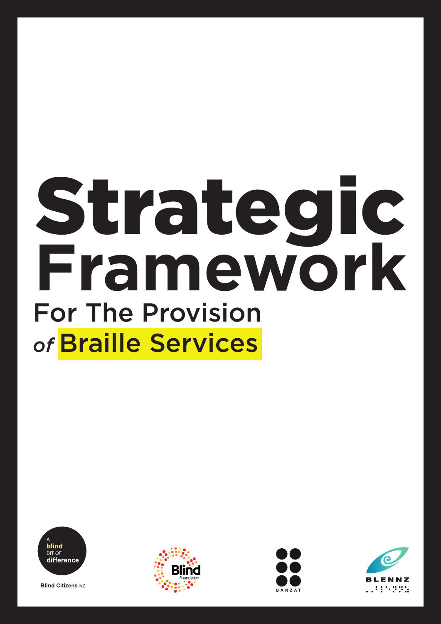# **Framework** Strategic For The Provision *of* Braille Services



**Blind Citizens NZ** 





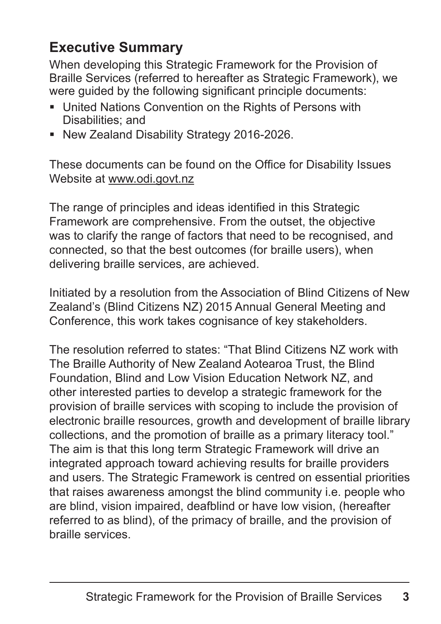# **Executive Summary**

When developing this Strategic Framework for the Provision of Braille Services (referred to hereafter as Strategic Framework), we were guided by the following significant principle documents:

- United Nations Convention on the Rights of Persons with Disabilities; and
- **New Zealand Disability Strategy 2016-2026.**

These documents can be found on the Office for Disability Issues Website at www.odi.govt.nz

The range of principles and ideas identified in this Strategic Framework are comprehensive. From the outset, the objective was to clarify the range of factors that need to be recognised, and connected, so that the best outcomes (for braille users), when delivering braille services, are achieved.

Initiated by a resolution from the Association of Blind Citizens of New Zealand's (Blind Citizens NZ) 2015 Annual General Meeting and Conference, this work takes cognisance of key stakeholders.

The resolution referred to states: "That Blind Citizens NZ work with The Braille Authority of New Zealand Aotearoa Trust, the Blind Foundation, Blind and Low Vision Education Network NZ, and other interested parties to develop a strategic framework for the provision of braille services with scoping to include the provision of electronic braille resources, growth and development of braille library collections, and the promotion of braille as a primary literacy tool." The aim is that this long term Strategic Framework will drive an integrated approach toward achieving results for braille providers and users. The Strategic Framework is centred on essential priorities that raises awareness amongst the blind community i.e. people who are blind, vision impaired, deafblind or have low vision, (hereafter referred to as blind), of the primacy of braille, and the provision of braille services.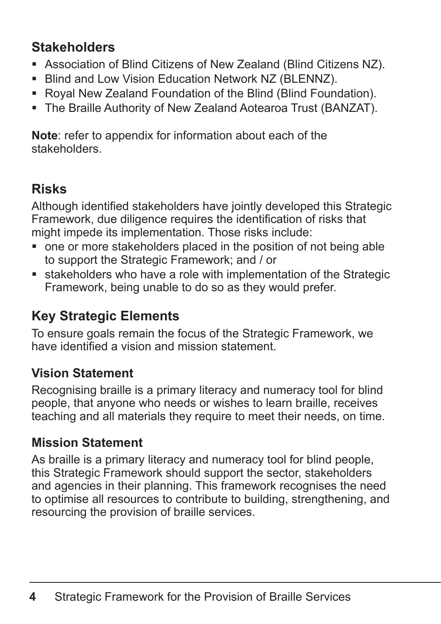# **Stakeholders**

- Association of Blind Citizens of New Zealand (Blind Citizens NZ).
- **Blind and Low Vision Education Network NZ (BLENNZ).**
- Royal New Zealand Foundation of the Blind (Blind Foundation).
- The Braille Authority of New Zealand Aotearoa Trust (BANZAT).

**Note**: refer to appendix for information about each of the stakeholders.

# **Risks**

Although identified stakeholders have jointly developed this Strategic Framework, due diligence requires the identification of risks that might impede its implementation. Those risks include:

- one or more stakeholders placed in the position of not being able to support the Strategic Framework; and / or
- stakeholders who have a role with implementation of the Strategic Framework, being unable to do so as they would prefer.

# **Key Strategic Elements**

To ensure goals remain the focus of the Strategic Framework, we have identified a vision and mission statement.

# **Vision Statement**

Recognising braille is a primary literacy and numeracy tool for blind people, that anyone who needs or wishes to learn braille, receives teaching and all materials they require to meet their needs, on time.

# **Mission Statement**

As braille is a primary literacy and numeracy tool for blind people, this Strategic Framework should support the sector, stakeholders and agencies in their planning. This framework recognises the need to optimise all resources to contribute to building, strengthening, and resourcing the provision of braille services.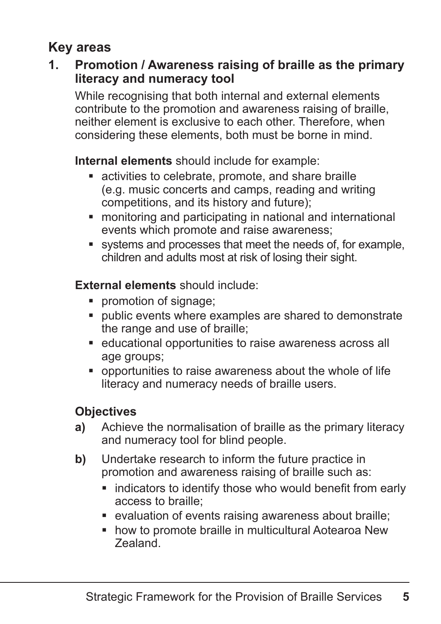# **Key areas**

#### **1. Promotion / Awareness raising of braille as the primary literacy and numeracy tool**

While recognising that both internal and external elements contribute to the promotion and awareness raising of braille, neither element is exclusive to each other. Therefore, when considering these elements, both must be borne in mind.

**Internal elements** should include for example:

- activities to celebrate, promote, and share braille (e.g. music concerts and camps, reading and writing competitions, and its history and future);
- monitoring and participating in national and international events which promote and raise awareness;
- systems and processes that meet the needs of, for example, children and adults most at risk of losing their sight.

#### **External elements** should include:

- **•** promotion of signage;
- public events where examples are shared to demonstrate the range and use of braille;
- educational opportunities to raise awareness across all age groups;
- opportunities to raise awareness about the whole of life literacy and numeracy needs of braille users.

- **a)** Achieve the normalisation of braille as the primary literacy and numeracy tool for blind people.
- **b)** Undertake research to inform the future practice in promotion and awareness raising of braille such as:
	- **Example 1** indicators to identify those who would benefit from early access to braille;
	- evaluation of events raising awareness about braille;
	- **how to promote braille in multicultural Aotearoa New** Zealand.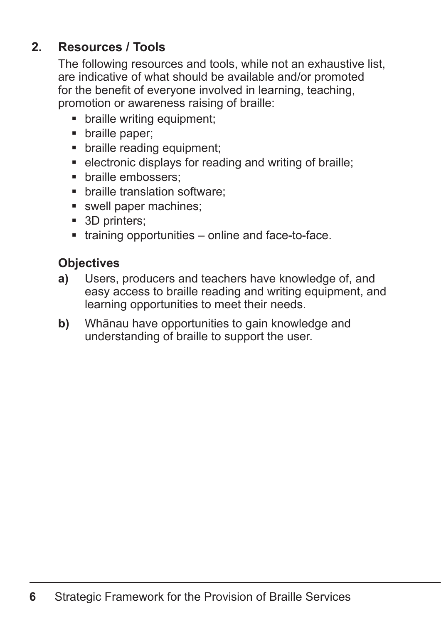## **2. Resources / Tools**

The following resources and tools, while not an exhaustive list, are indicative of what should be available and/or promoted for the benefit of everyone involved in learning, teaching, promotion or awareness raising of braille:

- braille writing equipment;
- braille paper;
- braille reading equipment;
- **EXECTE FIELD EXECTE:** electronic displays for reading and writing of braille;
- **•** braille embossers:
- **•** braille translation software:
- swell paper machines:
- 3D printers;
- training opportunities online and face-to-face.

- **a)** Users, producers and teachers have knowledge of, and easy access to braille reading and writing equipment, and learning opportunities to meet their needs.
- **b)** Whānau have opportunities to gain knowledge and understanding of braille to support the user.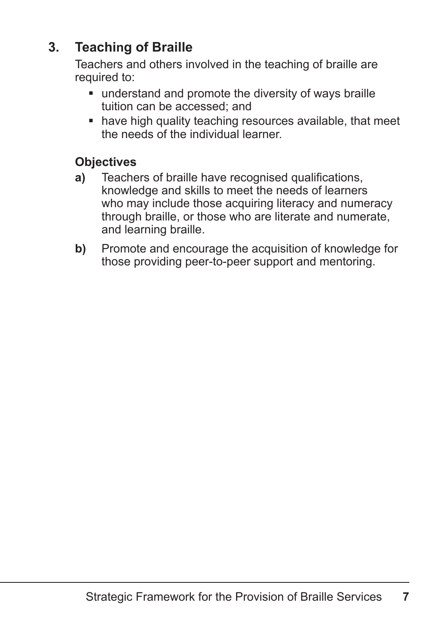# **3. Teaching of Braille**

Teachers and others involved in the teaching of braille are required to:

- understand and promote the diversity of ways braille tuition can be accessed; and
- have high quality teaching resources available, that meet the needs of the individual learner.

- **a)** Teachers of braille have recognised qualifications, knowledge and skills to meet the needs of learners who may include those acquiring literacy and numeracy through braille, or those who are literate and numerate, and learning braille.
- **b)** Promote and encourage the acquisition of knowledge for those providing peer-to-peer support and mentoring.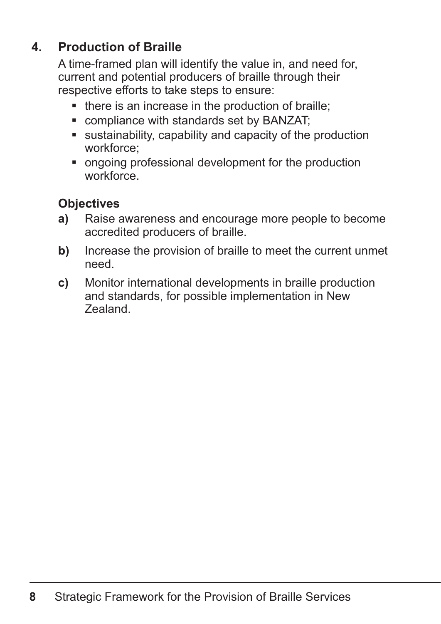# **4. Production of Braille**

A time-framed plan will identify the value in, and need for, current and potential producers of braille through their respective efforts to take steps to ensure:

- there is an increase in the production of braille;
- compliance with standards set by BANZAT;
- sustainability, capability and capacity of the production workforce;
- ongoing professional development for the production workforce.

- **a)** Raise awareness and encourage more people to become accredited producers of braille.
- **b)** Increase the provision of braille to meet the current unmet need.
- **c)** Monitor international developments in braille production and standards, for possible implementation in New Zealand.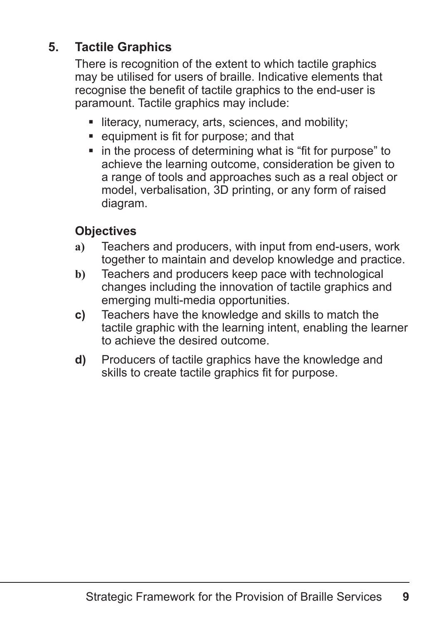# **5. Tactile Graphics**

There is recognition of the extent to which tactile graphics may be utilised for users of braille. Indicative elements that recognise the benefit of tactile graphics to the end-user is paramount. Tactile graphics may include:

- literacy, numeracy, arts, sciences, and mobility;
- equipment is fit for purpose; and that
- in the process of determining what is "fit for purpose" to achieve the learning outcome, consideration be given to a range of tools and approaches such as a real object or model, verbalisation, 3D printing, or any form of raised diagram.

- **a)** Teachers and producers, with input from end-users, work together to maintain and develop knowledge and practice.
- **b)** Teachers and producers keep pace with technological changes including the innovation of tactile graphics and emerging multi-media opportunities.
- **c)** Teachers have the knowledge and skills to match the tactile graphic with the learning intent, enabling the learner to achieve the desired outcome.
- **d)** Producers of tactile graphics have the knowledge and skills to create tactile graphics fit for purpose.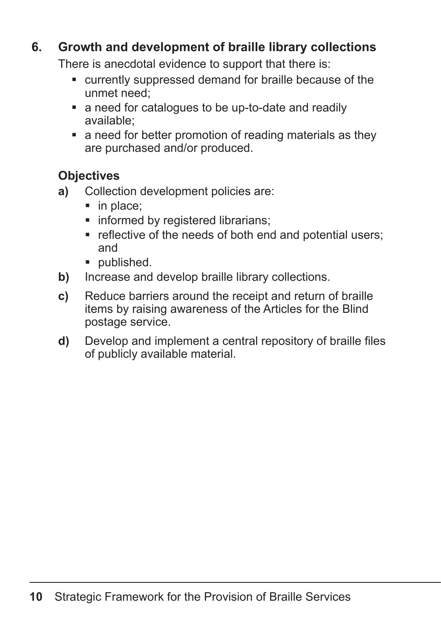#### **6. Growth and development of braille library collections**

There is anecdotal evidence to support that there is:

- currently suppressed demand for braille because of the unmet need;
- a need for catalogues to be up-to-date and readily available;
- a need for better promotion of reading materials as they are purchased and/or produced.

- **a)** Collection development policies are:
	- $\blacksquare$  in place;
	- **Informed by registered librarians;**
	- **F** reflective of the needs of both end and potential users; and
	- **published.**
- **b)** Increase and develop braille library collections.
- **c)** Reduce barriers around the receipt and return of braille items by raising awareness of the Articles for the Blind postage service.
- **d)** Develop and implement a central repository of braille files of publicly available material.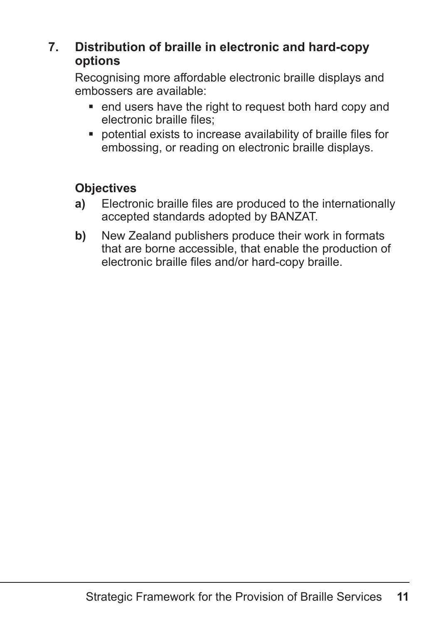#### **7. Distribution of braille in electronic and hard-copy options**

Recognising more affordable electronic braille displays and embossers are available:

- end users have the right to request both hard copy and electronic braille files;
- potential exists to increase availability of braille files for embossing, or reading on electronic braille displays.

- **a)** Electronic braille files are produced to the internationally accepted standards adopted by BANZAT.
- **b)** New Zealand publishers produce their work in formats that are borne accessible, that enable the production of electronic braille files and/or hard-copy braille.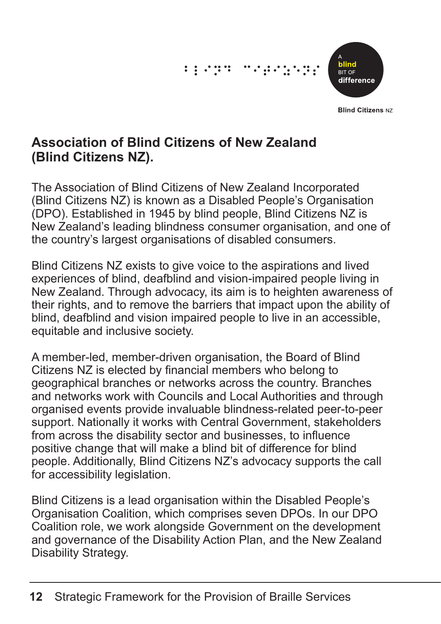# $\frac{1}{2}$   $\frac{1}{2}$   $\frac{1}{2}$   $\frac{1}{2}$   $\frac{1}{2}$   $\frac{1}{2}$   $\frac{1}{2}$   $\frac{1}{2}$   $\frac{1}{2}$   $\frac{1}{2}$   $\frac{1}{2}$   $\frac{1}{2}$   $\frac{1}{2}$   $\frac{1}{2}$   $\frac{1}{2}$   $\frac{1}{2}$   $\frac{1}{2}$   $\frac{1}{2}$   $\frac{1}{2}$   $\frac{1}{2}$   $\frac{1}{2}$   $\frac{1}{2}$



**Blind Citizens NZ** 

## **Association of Blind Citizens of New Zealand (Blind Citizens NZ).**

The Association of Blind Citizens of New Zealand Incorporated (Blind Citizens NZ) is known as a Disabled People's Organisation (DPO). Established in 1945 by blind people, Blind Citizens NZ is New Zealand's leading blindness consumer organisation, and one of the country's largest organisations of disabled consumers.

Blind Citizens NZ exists to give voice to the aspirations and lived experiences of blind, deafblind and vision-impaired people living in New Zealand. Through advocacy, its aim is to heighten awareness of their rights, and to remove the barriers that impact upon the ability of blind, deafblind and vision impaired people to live in an accessible, equitable and inclusive society.

A member-led, member-driven organisation, the Board of Blind Citizens NZ is elected by financial members who belong to geographical branches or networks across the country. Branches and networks work with Councils and Local Authorities and through organised events provide invaluable blindness-related peer-to-peer support. Nationally it works with Central Government, stakeholders from across the disability sector and businesses, to influence positive change that will make a blind bit of difference for blind people. Additionally, Blind Citizens NZ's advocacy supports the call for accessibility legislation.

Blind Citizens is a lead organisation within the Disabled People's Organisation Coalition, which comprises seven DPOs. In our DPO Coalition role, we work alongside Government on the development and governance of the Disability Action Plan, and the New Zealand Disability Strategy.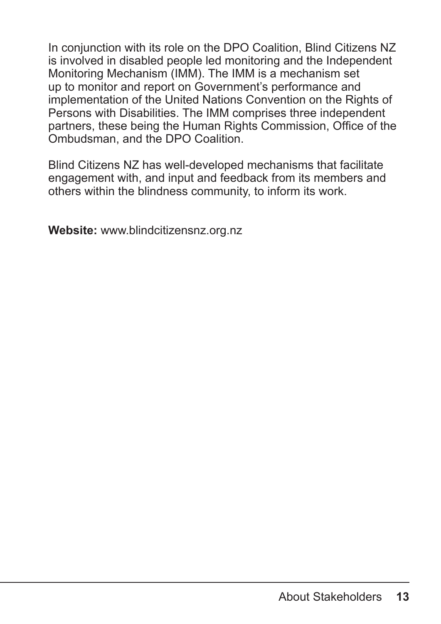In conjunction with its role on the DPO Coalition, Blind Citizens NZ is involved in disabled people led monitoring and the Independent Monitoring Mechanism (IMM). The IMM is a mechanism set up to monitor and report on Government's performance and implementation of the United Nations Convention on the Rights of Persons with Disabilities. The IMM comprises three independent partners, these being the Human Rights Commission, Office of the Ombudsman, and the DPO Coalition.

Blind Citizens NZ has well-developed mechanisms that facilitate engagement with, and input and feedback from its members and others within the blindness community, to inform its work.

**Website:** www.blindcitizensnz.org.nz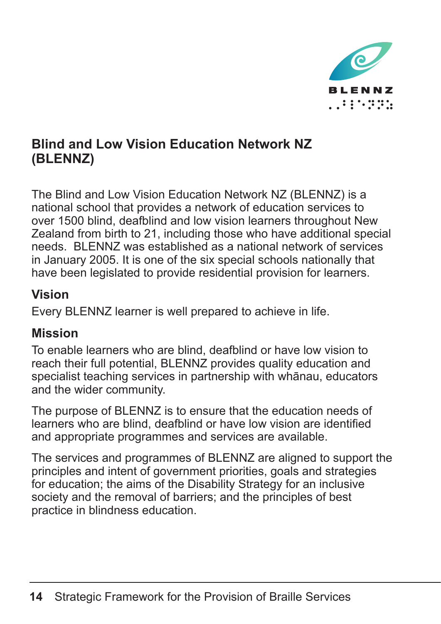

# **Blind and Low Vision Education Network NZ (BLENNZ)**

The Blind and Low Vision Education Network NZ (BLENNZ) is a national school that provides a network of education services to over 1500 blind, deafblind and low vision learners throughout New Zealand from birth to 21, including those who have additional special needs. BLENNZ was established as a national network of services in January 2005. It is one of the six special schools nationally that have been legislated to provide residential provision for learners.

#### **Vision**

Every BLENNZ learner is well prepared to achieve in life.

# **Mission**

To enable learners who are blind, deafblind or have low vision to reach their full potential, BLENNZ provides quality education and specialist teaching services in partnership with whānau, educators and the wider community.

The purpose of BLENNZ is to ensure that the education needs of learners who are blind, deafblind or have low vision are identified and appropriate programmes and services are available.

The services and programmes of BLENNZ are aligned to support the principles and intent of government priorities, goals and strategies for education; the aims of the Disability Strategy for an inclusive society and the removal of barriers; and the principles of best practice in blindness education.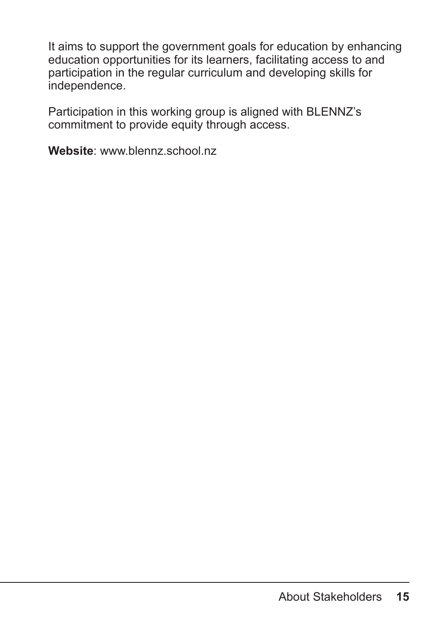It aims to support the government goals for education by enhancing education opportunities for its learners, facilitating access to and participation in the regular curriculum and developing skills for independence.

Participation in this working group is aligned with BLENNZ's commitment to provide equity through access.

**Website**: www.blennz.school.nz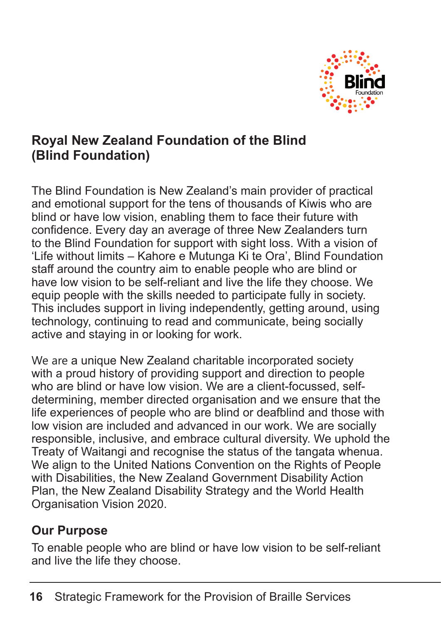

# **Royal New Zealand Foundation of the Blind (Blind Foundation)**

The Blind Foundation is New Zealand's main provider of practical and emotional support for the tens of thousands of Kiwis who are blind or have low vision, enabling them to face their future with confidence. Every day an average of three New Zealanders turn to the Blind Foundation for support with sight loss. With a vision of 'Life without limits – Kahore e Mutunga Ki te Ora', Blind Foundation staff around the country aim to enable people who are blind or have low vision to be self-reliant and live the life they choose. We equip people with the skills needed to participate fully in society. This includes support in living independently, getting around, using technology, continuing to read and communicate, being socially active and staying in or looking for work.

We are a unique New Zealand charitable incorporated society with a proud history of providing support and direction to people who are blind or have low vision. We are a client-focussed, selfdetermining, member directed organisation and we ensure that the life experiences of people who are blind or deafblind and those with low vision are included and advanced in our work. We are socially responsible, inclusive, and embrace cultural diversity. We uphold the Treaty of Waitangi and recognise the status of the tangata whenua. We align to the United Nations Convention on the Rights of People with Disabilities, the New Zealand Government Disability Action Plan, the New Zealand Disability Strategy and the World Health Organisation Vision 2020.

## **Our Purpose**

To enable people who are blind or have low vision to be self-reliant and live the life they choose.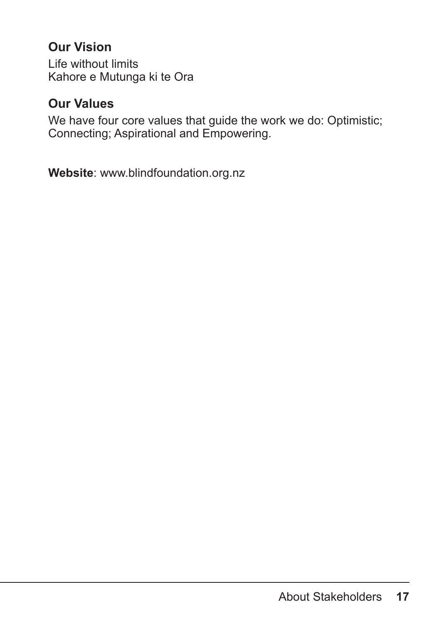## **Our Vision**

Life without limits Kahore e Mutunga ki te Ora

#### **Our Values**

We have four core values that guide the work we do: Optimistic; Connecting; Aspirational and Empowering.

**Website**: www.blindfoundation.org.nz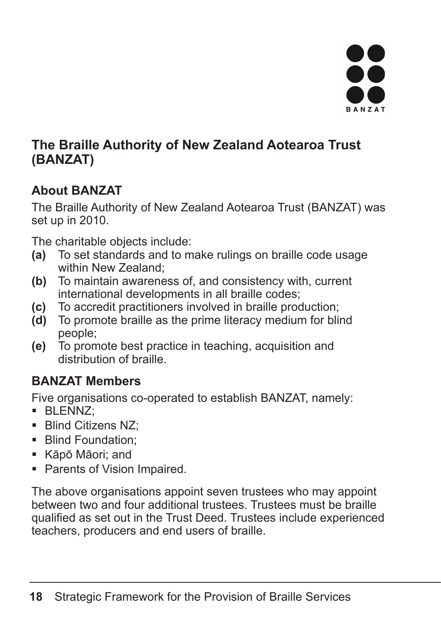

## **The Braille Authority of New Zealand Aotearoa Trust (BANZAT)**

# **About BANZAT**

The Braille Authority of New Zealand Aotearoa Trust (BANZAT) was set up in 2010.

The charitable objects include:

- **(a)** To set standards and to make rulings on braille code usage within New Zealand:
- **(b)** To maintain awareness of, and consistency with, current international developments in all braille codes;
- **(c)** To accredit practitioners involved in braille production;
- **(d)** To promote braille as the prime literacy medium for blind people;
- **(e)** To promote best practice in teaching, acquisition and distribution of braille.

# **BANZAT Members**

Five organisations co-operated to establish BANZAT, namely:

- BLENNZ;
- **Blind Citizens NZ:**
- **Blind Foundation;**
- Kāpō Māori; and
- Parents of Vision Impaired.

The above organisations appoint seven trustees who may appoint between two and four additional trustees. Trustees must be braille qualified as set out in the Trust Deed. Trustees include experienced teachers, producers and end users of braille.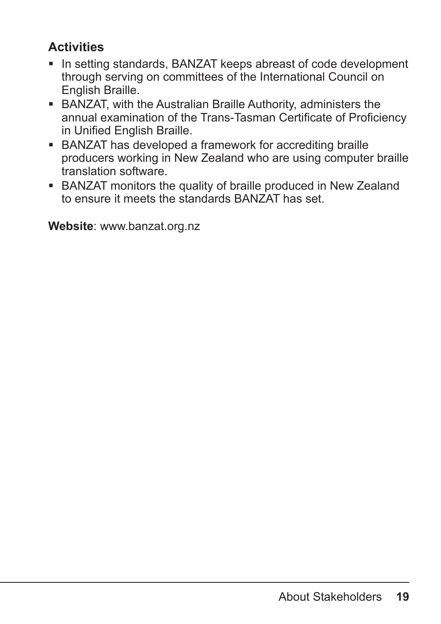# **Activities**

- In setting standards, BANZAT keeps abreast of code development through serving on committees of the International Council on English Braille.
- BANZAT, with the Australian Braille Authority, administers the annual examination of the Trans-Tasman Certificate of Proficiency in Unified English Braille.
- BANZAT has developed a framework for accrediting braille producers working in New Zealand who are using computer braille translation software.
- BANZAT monitors the quality of braille produced in New Zealand to ensure it meets the standards BANZAT has set.

**Website**: www.banzat.org.nz